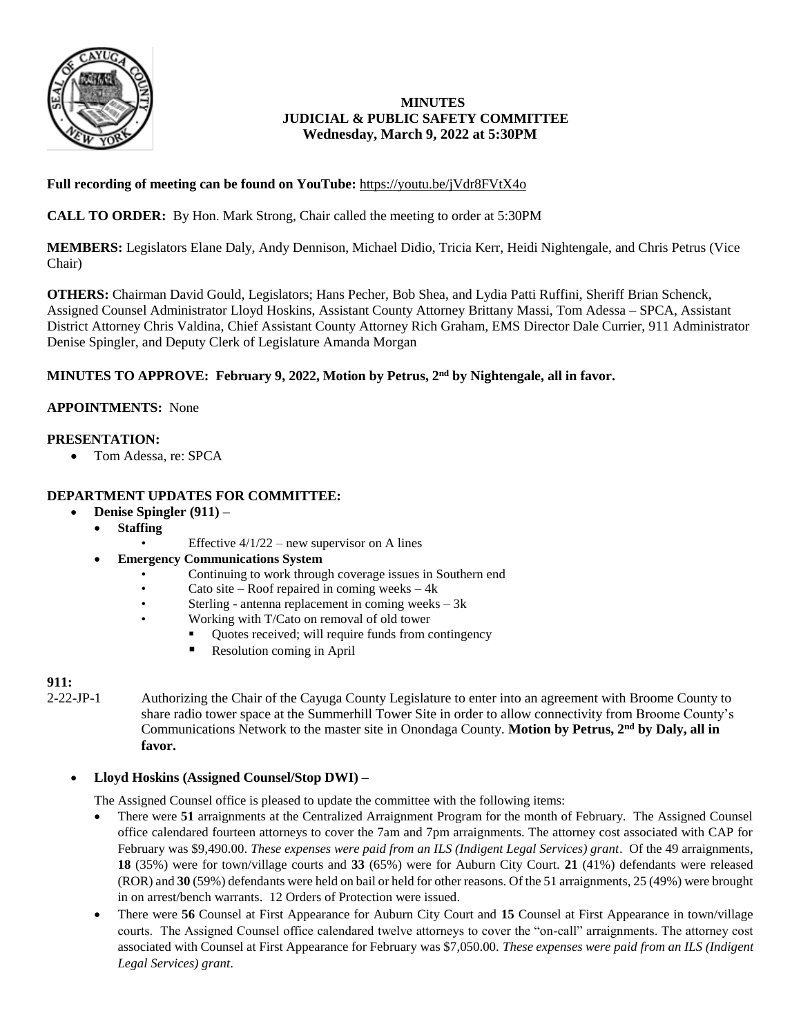

## **MINUTES JUDICIAL & PUBLIC SAFETY COMMITTEE Wednesday, March 9, 2022 at 5:30PM**

# **Full recording of meeting can be found on YouTube:** <https://youtu.be/jVdr8FVtX4o>

**CALL TO ORDER:** By Hon. Mark Strong, Chair called the meeting to order at 5:30PM

**MEMBERS:** Legislators Elane Daly, Andy Dennison, Michael Didio, Tricia Kerr, Heidi Nightengale, and Chris Petrus (Vice Chair)

**OTHERS:** Chairman David Gould, Legislators; Hans Pecher, Bob Shea, and Lydia Patti Ruffini, Sheriff Brian Schenck, Assigned Counsel Administrator Lloyd Hoskins, Assistant County Attorney Brittany Massi, Tom Adessa – SPCA, Assistant District Attorney Chris Valdina, Chief Assistant County Attorney Rich Graham, EMS Director Dale Currier, 911 Administrator Denise Spingler, and Deputy Clerk of Legislature Amanda Morgan

## **MINUTES TO APPROVE: February 9, 2022, Motion by Petrus, 2nd by Nightengale, all in favor.**

### **APPOINTMENTS:** None

### **PRESENTATION:**

• Tom Adessa, re: SPCA

## **DEPARTMENT UPDATES FOR COMMITTEE:**

- **Denise Spingler (911) –**
	- **Staffing** 
		- Effective  $4/1/22$  new supervisor on A lines
	- **Emergency Communications System**
		- Continuing to work through coverage issues in Southern end
		- Cato site Roof repaired in coming weeks  $4k$
		- Sterling antenna replacement in coming weeks  $-3k$ 
			- Working with T/Cato on removal of old tower
				- Quotes received; will require funds from contingency
				- Resolution coming in April

### **911:**

2-22-JP-1 Authorizing the Chair of the Cayuga County Legislature to enter into an agreement with Broome County to share radio tower space at the Summerhill Tower Site in order to allow connectivity from Broome County's Communications Network to the master site in Onondaga County. **Motion by Petrus, 2nd by Daly, all in favor.**

### **Lloyd Hoskins (Assigned Counsel/Stop DWI) –**

The Assigned Counsel office is pleased to update the committee with the following items:

- There were **51** arraignments at the Centralized Arraignment Program for the month of February. The Assigned Counsel office calendared fourteen attorneys to cover the 7am and 7pm arraignments. The attorney cost associated with CAP for February was \$9,490.00. *These expenses were paid from an ILS (Indigent Legal Services) grant*. Of the 49 arraignments, **18** (35%) were for town/village courts and **33** (65%) were for Auburn City Court. **21** (41%) defendants were released (ROR) and **30** (59%) defendants were held on bail or held for other reasons. Of the 51 arraignments, 25 (49%) were brought in on arrest/bench warrants. 12 Orders of Protection were issued.
- There were **56** Counsel at First Appearance for Auburn City Court and **15** Counsel at First Appearance in town/village courts. The Assigned Counsel office calendared twelve attorneys to cover the "on-call" arraignments. The attorney cost associated with Counsel at First Appearance for February was \$7,050.00. *These expenses were paid from an ILS (Indigent Legal Services) grant*.